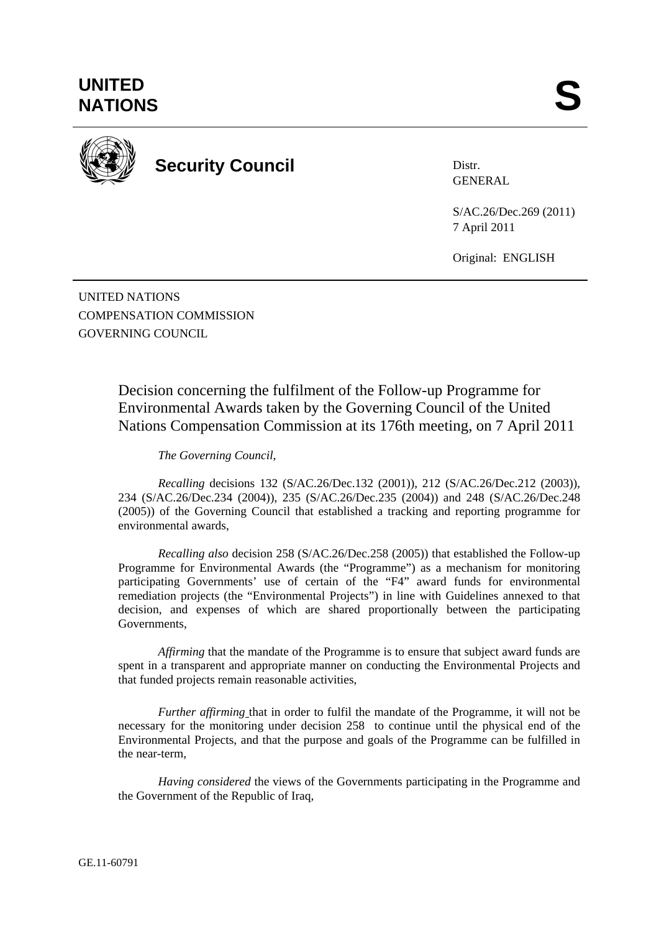

**Security Council** 

Distr. GENERAL

S/AC.26/Dec.269 (2011) 7 April 2011

Original: ENGLISH

UNITED NATIONS COMPENSATION COMMISSION GOVERNING COUNCIL

> Decision concerning the fulfilment of the Follow-up Programme for Environmental Awards taken by the Governing Council of the United Nations Compensation Commission at its 176th meeting, on 7 April 2011

*The Governing Council*,

*Recalling* decisions 132 (S/AC.26/Dec.132 (2001)), 212 (S/AC.26/Dec.212 (2003)), 234 (S/AC.26/Dec.234 (2004)), 235 (S/AC.26/Dec.235 (2004)) and 248 (S/AC.26/Dec.248 (2005)) of the Governing Council that established a tracking and reporting programme for environmental awards,

*Recalling also* decision 258 (S/AC.26/Dec.258 (2005)) that established the Follow-up Programme for Environmental Awards (the "Programme") as a mechanism for monitoring participating Governments' use of certain of the "F4" award funds for environmental remediation projects (the "Environmental Projects") in line with Guidelines annexed to that decision, and expenses of which are shared proportionally between the participating Governments,

*Affirming* that the mandate of the Programme is to ensure that subject award funds are spent in a transparent and appropriate manner on conducting the Environmental Projects and that funded projects remain reasonable activities,

*Further affirming* that in order to fulfil the mandate of the Programme, it will not be necessary for the monitoring under decision 258 to continue until the physical end of the Environmental Projects, and that the purpose and goals of the Programme can be fulfilled in the near-term,

 *Having considered* the views of the Governments participating in the Programme and the Government of the Republic of Iraq,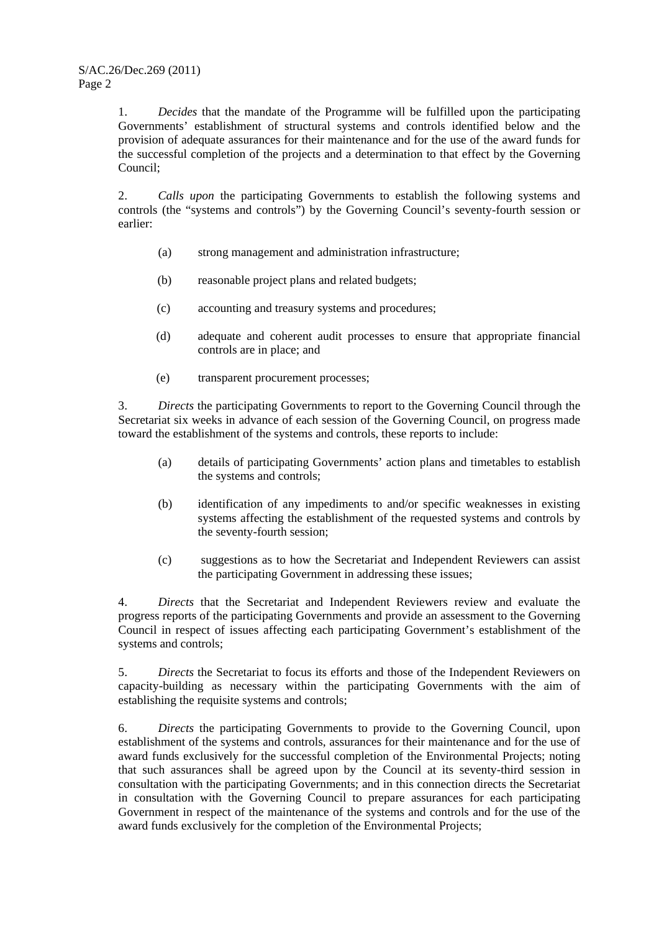1. *Decides* that the mandate of the Programme will be fulfilled upon the participating Governments' establishment of structural systems and controls identified below and the provision of adequate assurances for their maintenance and for the use of the award funds for the successful completion of the projects and a determination to that effect by the Governing Council;

2. *Calls upon* the participating Governments to establish the following systems and controls (the "systems and controls") by the Governing Council's seventy-fourth session or earlier:

- (a) strong management and administration infrastructure;
- (b) reasonable project plans and related budgets;
- (c) accounting and treasury systems and procedures;
- (d) adequate and coherent audit processes to ensure that appropriate financial controls are in place; and
- (e) transparent procurement processes;

3. *Directs* the participating Governments to report to the Governing Council through the Secretariat six weeks in advance of each session of the Governing Council, on progress made toward the establishment of the systems and controls, these reports to include:

- (a) details of participating Governments' action plans and timetables to establish the systems and controls;
- (b) identification of any impediments to and/or specific weaknesses in existing systems affecting the establishment of the requested systems and controls by the seventy-fourth session;
- (c) suggestions as to how the Secretariat and Independent Reviewers can assist the participating Government in addressing these issues;

4. *Directs* that the Secretariat and Independent Reviewers review and evaluate the progress reports of the participating Governments and provide an assessment to the Governing Council in respect of issues affecting each participating Government's establishment of the systems and controls;

5. *Directs* the Secretariat to focus its efforts and those of the Independent Reviewers on capacity-building as necessary within the participating Governments with the aim of establishing the requisite systems and controls;

6. *Directs* the participating Governments to provide to the Governing Council, upon establishment of the systems and controls, assurances for their maintenance and for the use of award funds exclusively for the successful completion of the Environmental Projects; noting that such assurances shall be agreed upon by the Council at its seventy-third session in consultation with the participating Governments; and in this connection directs the Secretariat in consultation with the Governing Council to prepare assurances for each participating Government in respect of the maintenance of the systems and controls and for the use of the award funds exclusively for the completion of the Environmental Projects;